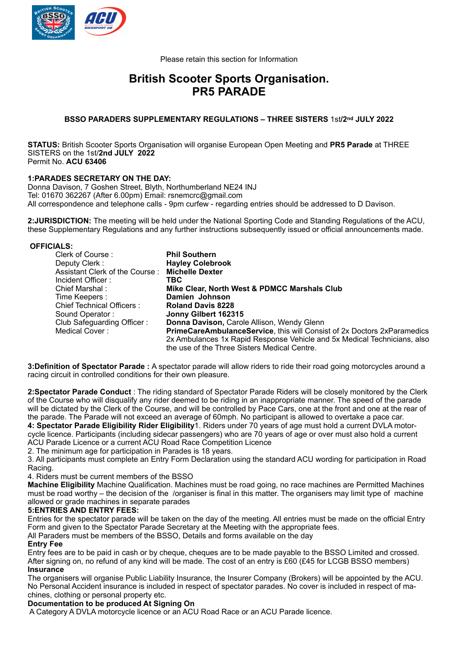

Please retain this section for Information

## **British Scooter Sports Organisation. PR5 PARADE**

#### **BSSO PARADERS SUPPLEMENTARY REGULATIONS – THREE SISTERS** 1st**/2nd JULY 2022**

**STATUS:** British Scooter Sports Organisation will organise European Open Meeting and **PR5 Parade** at THREE SISTERS on the 1st/**2nd JULY 2022** Permit No. **ACU 63406**

## **1:PARADES SECRETARY ON THE DAY:**

Donna Davison, 7 Goshen Street, Blyth, Northumberland NE24 INJ Tel: 01670 362267 (After 6.00pm) Email: rsnemcrc@gmail.com All correspondence and telephone calls - 9pm curfew - regarding entries should be addressed to D Davison.

**2:JURISDICTION:** The meeting will be held under the National Sporting Code and Standing Regulations of the ACU, these Supplementary Regulations and any further instructions subsequently issued or official announcements made.

#### **OFFICIALS:**

| Clerk of Course:               | <b>Phil Southern</b>                                                           |
|--------------------------------|--------------------------------------------------------------------------------|
| Deputy Clerk:                  | <b>Hayley Colebrook</b>                                                        |
| Assistant Clerk of the Course: | <b>Michelle Dexter</b>                                                         |
| Incident Officer :             | TBC.                                                                           |
| Chief Marshal:                 | Mike Clear, North West & PDMCC Marshals Club                                   |
| Time Keepers :                 | Damien Johnson                                                                 |
| Chief Technical Officers:      | <b>Roland Davis 8228</b>                                                       |
| Sound Operator:                | Jonny Gilbert 162315                                                           |
| Club Safeguarding Officer:     | <b>Donna Davison, Carole Allison, Wendy Glenn</b>                              |
| Medical Cover:                 | <b>PrimeCareAmbulanceService, this will Consist of 2x Doctors 2xParamedics</b> |
|                                | 2x Ambulances 1x Rapid Response Vehicle and 5x Medical Technicians, also       |
|                                | the use of the Three Sisters Medical Centre.                                   |

**3:Definition of Spectator Parade :** A spectator parade will allow riders to ride their road going motorcycles around a racing circuit in controlled conditions for their own pleasure.

**2:Spectator Parade Conduct** : The riding standard of Spectator Parade Riders will be closely monitored by the Clerk of the Course who will disqualify any rider deemed to be riding in an inappropriate manner. The speed of the parade will be dictated by the Clerk of the Course, and will be controlled by Pace Cars, one at the front and one at the rear of the parade. The Parade will not exceed an average of 60mph. No participant is allowed to overtake a pace car. **4: Spectator Parade Eligibility Rider Eligibility**1. Riders under 70 years of age must hold a current DVLA motorcycle licence. Participants (including sidecar passengers) who are 70 years of age or over must also hold a current

ACU Parade Licence or a current ACU Road Race Competition Licence

2. The minimum age for participation in Parades is 18 years.

3. All participants must complete an Entry Form Declaration using the standard ACU wording for participation in Road Racing.

#### 4. Riders must be current members of the BSSO

**Machine Eligibility** Machine Qualification. Machines must be road going, no race machines are Permitted Machines must be road worthy – the decision of the /organiser is final in this matter. The organisers may limit type of machine allowed or grade machines in separate parades

#### **5:ENTRIES AND ENTRY FEES:**

Entries for the spectator parade will be taken on the day of the meeting. All entries must be made on the official Entry Form and given to the Spectator Parade Secretary at the Meeting with the appropriate fees. All Paraders must be members of the BSSO, Details and forms available on the day

#### **Entry Fee**

Entry fees are to be paid in cash or by cheque, cheques are to be made payable to the BSSO Limited and crossed. After signing on, no refund of any kind will be made. The cost of an entry is £60 (£45 for LCGB BSSO members) **Insurance**

The organisers will organise Public Liability Insurance, the Insurer Company (Brokers) will be appointed by the ACU. No Personal Accident insurance is included in respect of spectator parades. No cover is included in respect of machines, clothing or personal property etc.

#### **Documentation to be produced At Signing On**

A Category A DVLA motorcycle licence or an ACU Road Race or an ACU Parade licence.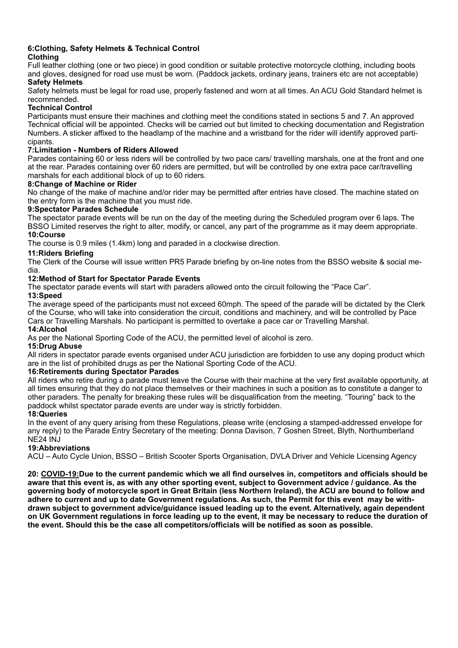# **6:Clothing, Safety Helmets & Technical Control**

## **Clothing**

Full leather clothing (one or two piece) in good condition or suitable protective motorcycle clothing, including boots and gloves, designed for road use must be worn. (Paddock jackets, ordinary jeans, trainers etc are not acceptable) **Safety Helmets**

Safety helmets must be legal for road use, properly fastened and worn at all times. An ACU Gold Standard helmet is recommended.

## **Technical Control**

Participants must ensure their machines and clothing meet the conditions stated in sections 5 and 7. An approved Technical official will be appointed. Checks will be carried out but limited to checking documentation and Registration Numbers. A sticker affixed to the headlamp of the machine and a wristband for the rider will identify approved participants.

## **7:Limitation - Numbers of Riders Allowed**

Parades containing 60 or less riders will be controlled by two pace cars/ travelling marshals, one at the front and one at the rear. Parades containing over 60 riders are permitted, but will be controlled by one extra pace car/travelling marshals for each additional block of up to 60 riders.

## **8:Change of Machine or Rider**

No change of the make of machine and/or rider may be permitted after entries have closed. The machine stated on the entry form is the machine that you must ride.

## **9:Spectator Parades Schedule**

The spectator parade events will be run on the day of the meeting during the Scheduled program over 6 laps. The BSSO Limited reserves the right to alter, modify, or cancel, any part of the programme as it may deem appropriate. **10:Course**

The course is 0.9 miles (1.4km) long and paraded in a clockwise direction.

## **11:Riders Briefing**

The Clerk of the Course will issue written PR5 Parade briefing by on-line notes from the BSSO website & social media.

## **12:Method of Start for Spectator Parade Events**

The spectator parade events will start with paraders allowed onto the circuit following the "Pace Car".

## **13:Speed**

The average speed of the participants must not exceed 60mph. The speed of the parade will be dictated by the Clerk of the Course, who will take into consideration the circuit, conditions and machinery, and will be controlled by Pace Cars or Travelling Marshals. No participant is permitted to overtake a pace car or Travelling Marshal.

#### **14:Alcohol**

As per the National Sporting Code of the ACU, the permitted level of alcohol is zero.

## **15:Drug Abuse**

All riders in spectator parade events organised under ACU jurisdiction are forbidden to use any doping product which are in the list of prohibited drugs as per the National Sporting Code of the ACU.

#### **16:Retirements during Spectator Parades**

All riders who retire during a parade must leave the Course with their machine at the very first available opportunity, at all times ensuring that they do not place themselves or their machines in such a position as to constitute a danger to other paraders. The penalty for breaking these rules will be disqualification from the meeting. "Touring" back to the paddock whilst spectator parade events are under way is strictly forbidden.

## **18:Queries**

In the event of any query arising from these Regulations, please write (enclosing a stamped-addressed envelope for any reply) to the Parade Entry Secretary of the meeting: Donna Davison, 7 Goshen Street, Blyth, Northumberland NE24 INJ

## **19:Abbreviations**

ACU – Auto Cycle Union, BSSO – British Scooter Sports Organisation, DVLA Driver and Vehicle Licensing Agency

**20: COVID-19:Due to the current pandemic which we all find ourselves in, competitors and officials should be aware that this event is, as with any other sporting event, subject to Government advice / guidance. As the governing body of motorcycle sport in Great Britain (less Northern Ireland), the ACU are bound to follow and adhere to current and up to date Government regulations. As such, the Permit for this event may be withdrawn subject to government advice/guidance issued leading up to the event. Alternatively, again dependent on UK Government regulations in force leading up to the event, it may be necessary to reduce the duration of the event. Should this be the case all competitors/officials will be notified as soon as possible.**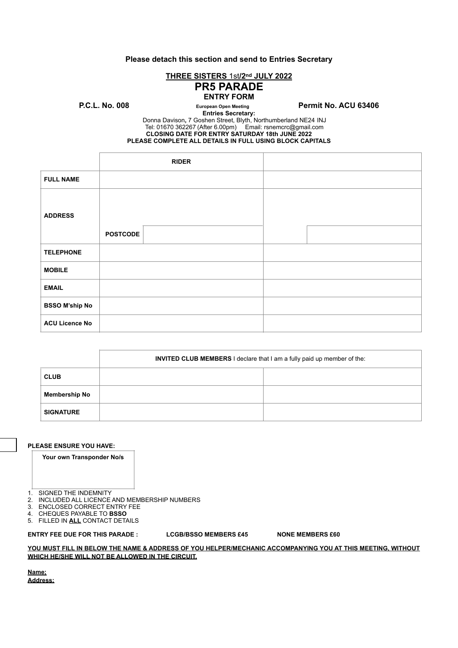#### **Please detach this section and send to Entries Secretary**

## **THREE SISTERS** 1st**/2nd JULY 2022**

## **PR5 PARADE ENTRY FORM**

P.C.L. No. 008 **European Open Meeting** Permit No. ACU 63406

**Entries Secretary:** 

Donna Davison**,** 7 Goshen Street, Blyth, Northumberland NE24 INJ Tel: 01670 362267 (After 6.00pm) Email: [rsnemcrc@gmail.com](mailto:rsnemcrc@gmail.com) **CLOSING DATE FOR ENTRY SATURDAY 18th JUNE 2022 PLEASE COMPLETE ALL DETAILS IN FULL USING BLOCK CAPITALS**

|                       |                 | <b>RIDER</b> |  |
|-----------------------|-----------------|--------------|--|
| <b>FULL NAME</b>      |                 |              |  |
| <b>ADDRESS</b>        |                 |              |  |
|                       | <b>POSTCODE</b> |              |  |
| <b>TELEPHONE</b>      |                 |              |  |
| <b>MOBILE</b>         |                 |              |  |
| <b>EMAIL</b>          |                 |              |  |
| <b>BSSO M'ship No</b> |                 |              |  |
| <b>ACU Licence No</b> |                 |              |  |

|                      | <b>INVITED CLUB MEMBERS I</b> declare that I am a fully paid up member of the: |  |  |  |
|----------------------|--------------------------------------------------------------------------------|--|--|--|
| <b>CLUB</b>          |                                                                                |  |  |  |
| <b>Membership No</b> |                                                                                |  |  |  |
| <b>SIGNATURE</b>     |                                                                                |  |  |  |

#### **PLEASE ENSURE YOU HAVE:**

**Your own Transponder No/s**

1. SIGNED THE INDEMNITY

- 2. INCLUDED ALL LICENCE AND MEMBERSHIP NUMBERS
- 3. ENCLOSED CORRECT ENTRY FEE<br>4. CHEQUES PAYABLE TO BSSO

4. CHEQUES PAYABLE TO **BSSO**

5. FILLED IN **ALL** CONTACT DETAILS

#### **ENTRY FEE DUE FOR THIS PARADE : LCGB/BSSO MEMBERS £45 NONE MEMBERS £60**

#### **YOU MUST FILL IN BELOW THE NAME & ADDRESS OF YOU HELPER/MECHANIC ACCOMPANYING YOU AT THIS MEETING, WITHOUT WHICH HE/SHE WILL NOT BE ALLOWED IN THE CIRCUIT.**

**Name; Address;**